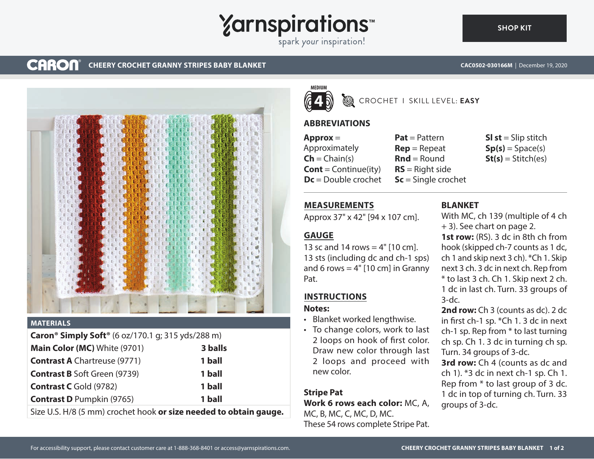**Yarnspirations** 

spark your inspiration!

#### **CARON® CHEERY CROCHET GRANNY STRIPES BABY BLANKET CAC0502-030166M** | December 19, 2020



### **MATERIALS**

| <b>Caron<sup>®</sup> Simply Soft<sup>®</sup></b> (6 oz/170.1 g; 315 yds/288 m) |         |
|--------------------------------------------------------------------------------|---------|
| Main Color (MC) White (9701)                                                   | 3 balls |
| <b>Contrast A</b> Chartreuse (9771)                                            | 1 ball  |
| <b>Contrast B Soft Green (9739)</b>                                            | 1 ball  |
| <b>Contrast C</b> Gold (9782)                                                  | 1 ball  |
| <b>Contrast D</b> Pumpkin (9765)                                               | 1 ball  |
| Size U.S. H/8 (5 mm) crochet hook or size needed to obtain gauge.              |         |



# CROCHET I SKILL LEVEL: **EASY**

# **ABBREVIATIONS**

**Approx** = Approximately  $\mathsf{Ch} = \mathsf{Chain}(s)$ **Cont** = Continue(ity) **Dc** = Double crochet

**Pat** = Pattern **Rep** = Repeat  $Rnd =$  Round **RS** = Right side **Sc** = Single crochet **Sl st** = Slip stitch  $Sp(s) = Space(s)$  $St(s) = Stitch(es)$ 

# **MEASUREMENTS**

Approx 37" x 42" [94 x 107 cm].

# **GAUGE**

13 sc and 14 rows  $=$  4" [10 cm]. 13 sts (including dc and ch-1 sps) and 6 rows  $= 4"$  [10 cm] in Granny Pat.

# **INSTRUCTIONS**

### **Notes:**

- Blanket worked lengthwise.
- To change colors, work to last 2 loops on hook of first color. Draw new color through last 2 loops and proceed with new color.

# **Stripe Pat**

**Work 6 rows each color:** MC, A, MC, B, MC, C, MC, D, MC. These 54 rows complete Stripe Pat.

# **BLANKET**

With MC, ch 139 (multiple of 4 ch + 3). See chart on page 2.

**1st row:** (RS). 3 dc in 8th ch from hook (skipped ch-7 counts as 1 dc, ch 1 and skip next 3 ch). \*Ch 1. Skip next 3 ch. 3 dc in next ch. Rep from \* to last 3 ch. Ch 1. Skip next 2 ch. 1 dc in last ch. Turn. 33 groups of 3-dc.

**2nd row:** Ch 3 (counts as dc). 2 dc in first ch-1 sp.  $*$ Ch 1. 3 dc in next ch-1 sp. Rep from \* to last turning ch sp. Ch 1. 3 dc in turning ch sp. Turn. 34 groups of 3-dc.

**3rd row:** Ch 4 (counts as dc and ch 1). \*3 dc in next ch-1 sp. Ch 1. Rep from \* to last group of 3 dc. 1 dc in top of turning ch. Turn. 33 groups of 3-dc.